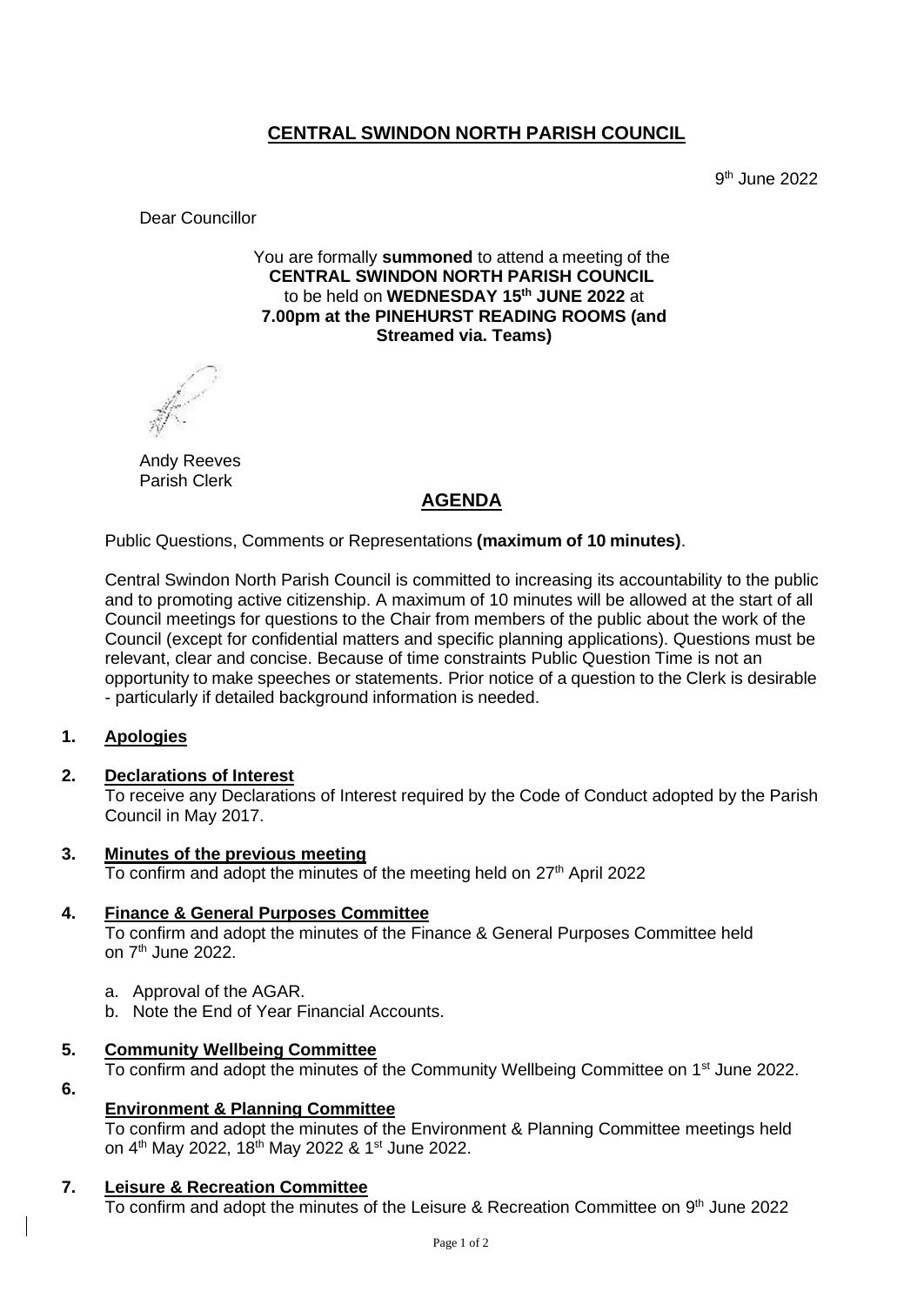# **CENTRAL SWINDON NORTH PARISH COUNCIL**

9 th June 2022

Dear Councillor

You are formally **summoned** to attend a meeting of the **CENTRAL SWINDON NORTH PARISH COUNCIL** to be held on **WEDNESDAY 15th JUNE 2022** at **7.00pm at the PINEHURST READING ROOMS (and Streamed via. Teams)**

Andy Reeves Parish Clerk

## **AGENDA**

Public Questions, Comments or Representations **(maximum of 10 minutes)**.

Central Swindon North Parish Council is committed to increasing its accountability to the public and to promoting active citizenship. A maximum of 10 minutes will be allowed at the start of all Council meetings for questions to the Chair from members of the public about the work of the Council (except for confidential matters and specific planning applications). Questions must be relevant, clear and concise. Because of time constraints Public Question Time is not an opportunity to make speeches or statements. Prior notice of a question to the Clerk is desirable - particularly if detailed background information is needed.

### **1. Apologies**

#### **2. Declarations of Interest**

To receive any Declarations of Interest required by the Code of Conduct adopted by the Parish Council in May 2017.

#### **3. Minutes of the previous meeting** To confirm and adopt the minutes of the meeting held on  $27<sup>th</sup>$  April 2022

#### **4. Finance & General Purposes Committee**

To confirm and adopt the minutes of the Finance & General Purposes Committee held on 7<sup>th</sup> June 2022.

- a. Approval of the AGAR.
- b. Note the End of Year Financial Accounts.

### **5. Community Wellbeing Committee**

To confirm and adopt the minutes of the Community Wellbeing Committee on 1<sup>st</sup> June 2022.

**6.**

# **Environment & Planning Committee**

To confirm and adopt the minutes of the Environment & Planning Committee meetings held on 4<sup>th</sup> May 2022, 18<sup>th</sup> May 2022 & 1<sup>st</sup> June 2022.

### **7. Leisure & Recreation Committee**

To confirm and adopt the minutes of the Leisure & Recreation Committee on 9<sup>th</sup> June 2022